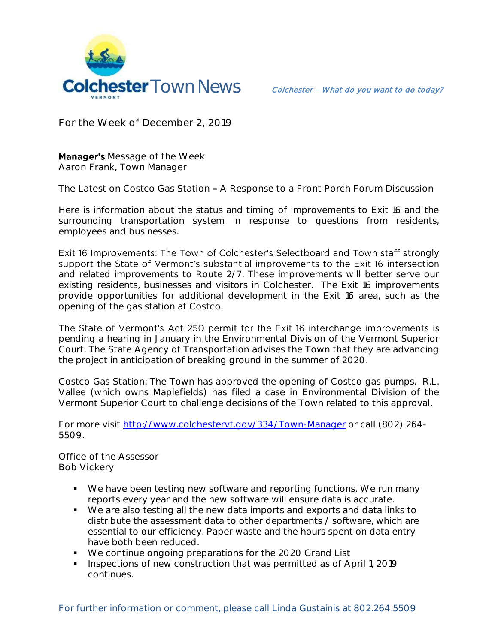

**For the Week of December 2, 2019**

**Manager's** Message of the Week **Aaron Frank, Town Manager**

The Latest on Costco Gas Station **-** A Response to a Front Porch Forum Discussion

Here is information about the status and timing of improvements to Exit 16 and the surrounding transportation system in response to questions from residents, employees and businesses.

Exit 16 Improvements: The Town of Colchester's Selectboard and Town staff strongly support the State of Vermont's substantial improvements to the Exit 16 intersection and related improvements to Route 2/7. These improvements will better serve our existing residents, businesses and visitors in Colchester. The Exit 16 improvements provide opportunities for additional development in the Exit 16 area, such as the opening of the gas station at Costco.

The State of Vermont's Act 250 permit for the Exit 16 interchange improvements is pending a hearing in January in the Environmental Division of the Vermont Superior Court. The State Agency of Transportation advises the Town that they are advancing the project in anticipation of breaking ground in the summer of 2020.

Costco Gas Station: The Town has approved the opening of Costco gas pumps. R.L. Vallee (which owns Maplefields) has filed a case in Environmental Division of the Vermont Superior Court to challenge decisions of the Town related to this approval.

For more visit<http://www.colchestervt.gov/334/Town-Manager> or call (802) 264- 5509.

**Office of the Assessor Bob Vickery**

- We have been testing new software and reporting functions. We run many reports every year and the new software will ensure data is accurate.
- We are also testing all the new data imports and exports and data links to distribute the assessment data to other departments / software, which are essential to our efficiency. Paper waste and the hours spent on data entry have both been reduced.
- We continue ongoing preparations for the 2020 Grand List
- Inspections of new construction that was permitted as of April 1, 2019 continues.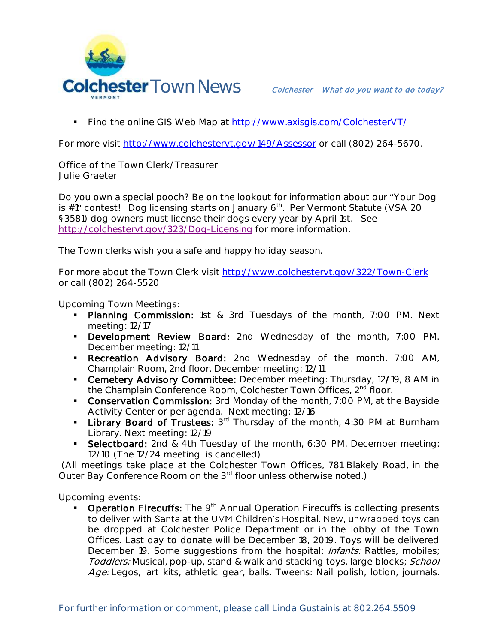

Find the online GIS Web Map at<http://www.axisgis.com/ColchesterVT/>

For more visit<http://www.colchestervt.gov/149/Assessor> or call (802) 264-5670.

**Office of the Town Clerk/Treasurer Julie Graeter**

Do you own a special pooch? Be on the lookout for information about our Your Dog is  $\sharp$ 1" contest! Dog licensing starts on January 6<sup>th</sup>. Per Vermont Statute (VSA 20 §3581) dog owners must license their dogs every year by April 1st. See <http://colchestervt.gov/323/Dog-Licensing> for more information.

The Town clerks wish you a safe and happy holiday season.

For more about the Town Clerk visit <http://www.colchestervt.gov/322/Town-Clerk> or call (802) 264-5520

**Upcoming Town Meetings:** 

- Planning Commission: 1st & 3rd Tuesdays of the month, 7:00 PM. Next meeting: 12/17
- **Development Review Board:** 2nd Wednesday of the month, 7:00 PM. December meeting: 12/11
- Recreation Advisory Board: 2nd Wednesday of the month, 7:00 AM, Champlain Room, 2nd floor. December meeting: 12/11
- **Cemetery Advisory Committee:** December meeting: Thursday, 12/19, 8 AM in the Champlain Conference Room, Colchester Town Offices, 2<sup>nd</sup> floor.
- **Conservation Commission:** 3rd Monday of the month, 7:00 PM, at the Bayside Activity Center or per agenda. Next meeting: 12/16
- **Library Board of Trustees:**  $3^{rd}$  Thursday of the month, 4:30 PM at Burnham Library. Next meeting: 12/19
- Selectboard: 2nd & 4th Tuesday of the month, 6:30 PM. December meeting: 12/10 (The 12/24 meeting is cancelled)

(All meetings take place at the Colchester Town Offices, 781 Blakely Road, in the Outer Bay Conference Room on the 3<sup>rd</sup> floor unless otherwise noted.)

**Upcoming events:** 

**• Operation Firecuffs:** The  $9<sup>th</sup>$  Annual Operation Firecuffs is collecting presents to deliver with Santa at the UVM Children's Hospital. New, unwrapped toys can be dropped at Colchester Police Department or in the lobby of the Town Offices. Last day to donate will be December 18, 2019. Toys will be delivered December 19. Some suggestions from the hospital: *Infants:* Rattles, mobiles; Toddlers: Musical, pop-up, stand & walk and stacking toys, large blocks; School Age: Legos, art kits, athletic gear, balls. Tweens: Nail polish, lotion, journals.